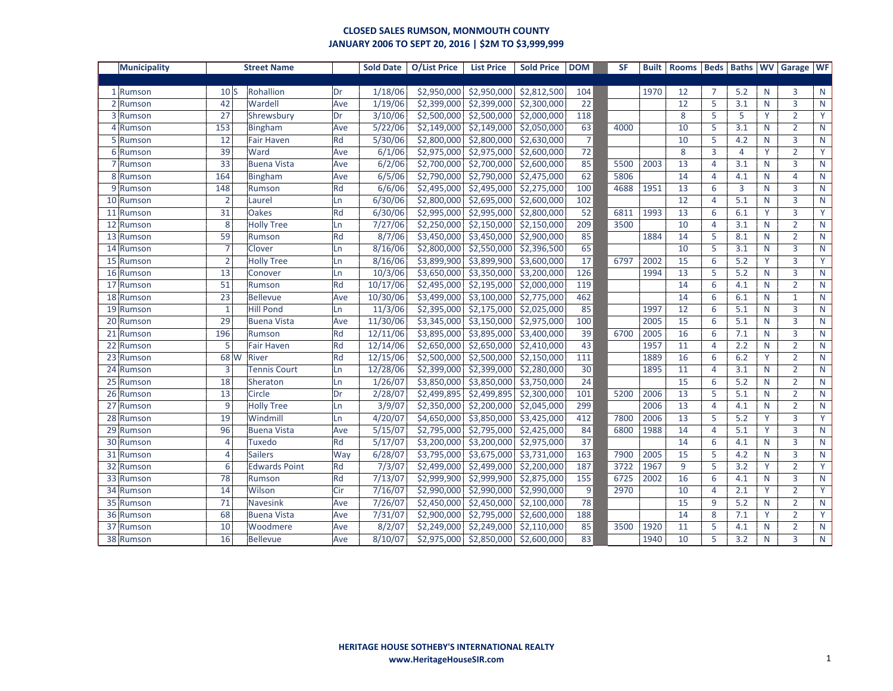| <b>Municipality</b> |                | <b>Street Name</b>   |     | <b>Sold Date</b> | O/List Price | <b>List Price</b> | <b>Sold Price</b> | <b>DOM</b>      | <b>SF</b> | <b>Built</b> | <b>Rooms</b> | <b>Beds</b>    | <b>Baths</b>   |   | <b>WV</b> Garage | <b>WF</b>               |
|---------------------|----------------|----------------------|-----|------------------|--------------|-------------------|-------------------|-----------------|-----------|--------------|--------------|----------------|----------------|---|------------------|-------------------------|
|                     |                |                      |     |                  |              |                   |                   |                 |           |              |              |                |                |   |                  |                         |
| 1 Rumson            | 10S            | Rohallion            | Dr  | 1/18/06          | \$2,950,000  | \$2,950,000       | \$2,812,500       | 104             |           | 1970         | 12           | $\overline{7}$ | 5.2            | N | 3                | N                       |
| 2 Rumson            | 42             | Wardell              | Ave | 1/19/06          | \$2,399,000  | \$2,399,000       | \$2,300,000       | 22              |           |              | 12           | 5              | 3.1            | N | $\overline{3}$   | $\mathsf{N}$            |
| 3 Rumson            | 27             | Shrewsbury           | Dr  | 3/10/06          | \$2,500,000  | \$2,500,000       | \$2,000,000       | 118             |           |              | 8            | 5              | 5              | Y | $\overline{2}$   | Y                       |
| 4 Rumson            | 153            | <b>Bingham</b>       | Ave | 5/22/06          | \$2,149,000  | \$2,149,000       | \$2,050,000       | 63              | 4000      |              | 10           | 5              | 3.1            | N | $\overline{2}$   | ${\sf N}$               |
| 5 Rumson            | 12             | <b>Fair Haven</b>    | Rd  | 5/30/06          | \$2,800,000  | \$2,800,000       | \$2,630,000       | $\overline{7}$  |           |              | 10           | 5              | 4.2            | N | $\overline{3}$   | N                       |
| 6 Rumson            | 39             | Ward                 | Ave | 6/1/06           | \$2,975,000  | \$2,975,000       | \$2,600,000       | $\overline{72}$ |           |              | 8            | $\overline{3}$ | $\overline{4}$ | Y | $\overline{2}$   | Y                       |
| 7 Rumson            | 33             | <b>Buena Vista</b>   | Ave | 6/2/06           | \$2,700,000  | \$2,700,000       | \$2,600,000       | 85              | 5500      | 2003         | 13           | $\overline{4}$ | 3.1            | N | $\overline{3}$   | ${\sf N}$               |
| 8 Rumson            | 164            | <b>Bingham</b>       | Ave | 6/5/06           | \$2,790,000  | \$2,790,000       | \$2,475,000       | 62              | 5806      |              | 14           | $\overline{4}$ | 4.1            | N | $\overline{4}$   | $\mathsf{N}$            |
| 9 Rumson            | 148            | Rumson               | Rd  | 6/6/06           | \$2,495,000  | \$2,495,000       | \$2,275,000       | 100             | 4688      | 1951         | 13           | 6              | $\overline{3}$ | N | $\overline{3}$   | $\mathsf{N}$            |
| 10 Rumson           | $\overline{2}$ | Laurel               | Ln  | 6/30/06          | \$2,800,000  | \$2,695,000       | \$2,600,000       | 102             |           |              | 12           | $\overline{4}$ | 5.1            | N | $\overline{3}$   | ${\sf N}$               |
| 11 Rumson           | 31             | <b>Oakes</b>         | Rd  | 6/30/06          | \$2,995,000  | \$2,995,000       | \$2,800,000       | 52              | 6811      | 1993         | 13           | 6              | 6.1            | Y | $\overline{3}$   | $\overline{\mathsf{Y}}$ |
| 12 Rumson           | 8              | <b>Holly Tree</b>    | Ln  | 7/27/06          | \$2,250,000  | \$2,150,000       | \$2,150,000       | 209             | 3500      |              | 10           | $\overline{4}$ | 3.1            | N | $\overline{2}$   | N                       |
| 13 Rumson           | 59             | Rumson               | Rd  | 8/7/06           | \$3,450,000  | \$3,450,000       | \$2,900,000       | 85              |           | 1884         | 14           | 5              | 8.1            | N | $\overline{2}$   | $\mathsf{N}$            |
| 14 Rumson           | $\overline{7}$ | Clover               | Ln  | 8/16/06          | \$2,800,000  | \$2,550,000       | \$2,396,500       | 65              |           |              | 10           | 5              | 3.1            | N | 3                | ${\sf N}$               |
| 15 Rumson           | $\overline{2}$ | <b>Holly Tree</b>    | Ln  | 8/16/06          | \$3,899,900  | \$3,899,900       | \$3,600,000       | 17              | 6797      | 2002         | 15           | 6              | 5.2            | Y | $\overline{3}$   | Y                       |
| 16 Rumson           | 13             | Conover              | Ln  | 10/3/06          | \$3,650,000  | \$3,350,000       | \$3,200,000       | 126             |           | 1994         | 13           | 5              | 5.2            | N | $\overline{3}$   | $\mathsf{N}$            |
| 17 Rumson           | 51             | Rumson               | Rd  | 10/17/06         | \$2,495,000  | \$2,195,000       | \$2,000,000       | 119             |           |              | 14           | 6              | 4.1            | N | $\overline{2}$   | $\mathsf{N}$            |
| 18 Rumson           | 23             | <b>Bellevue</b>      | Ave | 10/30/06         | \$3,499,000  | \$3,100,000       | \$2,775,000       | 462             |           |              | 14           | 6              | 6.1            | N | $\mathbf{1}$     | ${\sf N}$               |
| 19 Rumson           | $\mathbf{1}$   | <b>Hill Pond</b>     | Ln  | 11/3/06          | \$2,395,000  | \$2,175,000       | \$2,025,000       | 85              |           | 1997         | 12           | 6              | 5.1            | N | 3                | N                       |
| 20 Rumson           | 29             | <b>Buena Vista</b>   | Ave | 11/30/06         | \$3,345,000  | \$3,150,000       | \$2,975,000       | 100             |           | 2005         | 15           | 6              | 5.1            | N | 3                | N                       |
| 21<br>Rumson        | 196            | Rumson               | Rd  | 12/11/06         | \$3,895,000  | \$3,895,000       | \$3,400,000       | 39              | 6700      | 2005         | 16           | 6              | 7.1            | N | $\overline{3}$   | ${\sf N}$               |
| 22 Rumson           | 5              | <b>Fair Haven</b>    | Rd  | 12/14/06         | \$2,650,000  | \$2,650,000       | \$2,410,000       | $\overline{43}$ |           | 1957         | 11           | $\overline{4}$ | 2.2            | N | $\overline{2}$   | ${\sf N}$               |
| 23 Rumson           | 68 W           | River                | Rd  | 12/15/06         | \$2,500,000  | \$2,500,000       | \$2,150,000       | 111             |           | 1889         | 16           | 6              | 6.2            | Y | $\overline{2}$   | $\mathsf{N}$            |
| 24 Rumson           | $\overline{3}$ | <b>Tennis Court</b>  | Ln  | 12/28/06         | \$2,399,000  | \$2,399,000       | \$2,280,000       | 30              |           | 1895         | 11           | $\overline{4}$ | 3.1            | N | $\overline{2}$   | $\mathsf{N}$            |
| 25 Rumson           | 18             | Sheraton             | Ln  | 1/26/07          | \$3,850,000  | \$3,850,000       | \$3,750,000       | $\overline{24}$ |           |              | 15           | 6              | 5.2            | N | $\overline{2}$   | ${\sf N}$               |
| 26 Rumson           | 13             | Circle               | Dr  | 2/28/07          | \$2,499,895  | \$2,499,895       | \$2,300,000       | 101             | 5200      | 2006         | 13           | 5              | 5.1            | N | $\overline{2}$   | N                       |
| 27<br>Rumson        | $\overline{9}$ | <b>Holly Tree</b>    | Ln  | 3/9/07           | \$2,350,000  | \$2,200,000       | \$2,045,000       | 299             |           | 2006         | 13           | $\overline{4}$ | 4.1            | N | $\overline{2}$   | ${\sf N}$               |
| 28 Rumson           | 19             | Windmill             | Ln  | 4/20/07          | \$4,650,000  | \$3,850,000       | \$3,425,000       | 412             | 7800      | 2006         | 13           | 5              | 5.2            | Y | $\overline{3}$   | $\overline{Y}$          |
| 29 Rumson           | 96             | <b>Buena Vista</b>   | Ave | 5/15/07          | \$2,795,000  | \$2,795,000       | \$2,425,000       | 84              | 6800      | 1988         | 14           | $\overline{4}$ | 5.1            | Y | $\overline{3}$   | ${\sf N}$               |
| 30 Rumson           | 4              | <b>Tuxedo</b>        | Rd  | 5/17/07          | \$3,200,000  | \$3,200,000       | \$2,975,000       | 37              |           |              | 14           | 6              | 4.1            | N | 3                | N                       |
| 31<br>Rumson        | $\overline{4}$ | <b>Sailers</b>       | Way | 6/28/07          | \$3,795,000  | \$3,675,000       | \$3,731,000       | 163             | 7900      | 2005         | 15           | 5              | 4.2            | N | $\overline{3}$   | $\mathsf{N}$            |
| 32 Rumson           | 6              | <b>Edwards Point</b> | Rd  | 7/3/07           | \$2,499,000  | \$2,499,000       | \$2,200,000       | 187             | 3722      | 1967         | 9            | 5              | 3.2            | Y | $\overline{2}$   | Y                       |
| 33 Rumson           | 78             | Rumson               | Rd  | 7/13/07          | \$2,999,900  | \$2,999,900       | \$2,875,000       | 155             | 6725      | 2002         | 16           | 6              | 4.1            | N | 3                | N                       |
| 34<br>Rumson        | 14             | Wilson               | Cir | 7/16/07          | \$2,990,000  | \$2,990,000       | \$2,990,000       | 9               | 2970      |              | 10           | $\overline{4}$ | 2.1            | Y | $\overline{2}$   | Y                       |
| 35 Rumson           | 71             | Navesink             | Ave | 7/26/07          | \$2,450,000  | \$2,450,000       | \$2,100,000       | 78              |           |              | 15           | 9              | 5.2            | N | $\overline{2}$   | $\mathsf{N}$            |
| 36 Rumson           | 68             | <b>Buena Vista</b>   | Ave | 7/31/07          | \$2,900,000  | \$2,795,000       | \$2,600,000       | 188             |           |              | 14           | 8              | 7.1            | Y | $\overline{2}$   | Y                       |
| 37 Rumson           | 10             | Woodmere             | Ave | 8/2/07           | \$2,249,000  | \$2,249,000       | \$2,110,000       | 85              | 3500      | 1920         | 11           | 5              | 4.1            | N | $\overline{2}$   | N                       |
| 38 Rumson           | 16             | <b>Bellevue</b>      | Ave | 8/10/07          | \$2,975,000  | \$2,850,000       | \$2,600,000       | 83              |           | 1940         | 10           | 5              | 3.2            | N | $\overline{3}$   | ${\sf N}$               |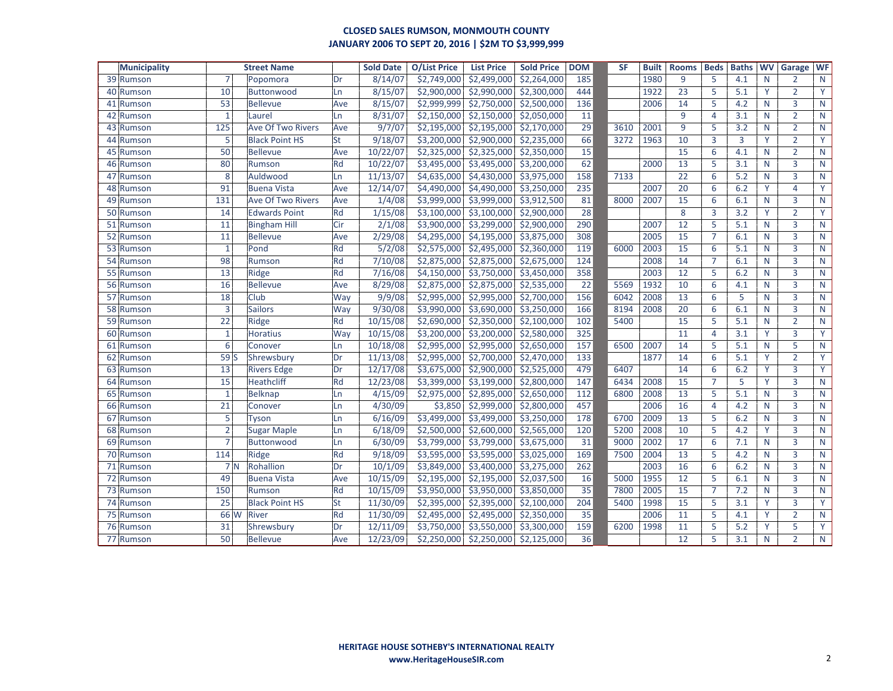| <b>Municipality</b> | <b>Street Name</b> |                          |     | <b>Sold Date</b> | <b>O/List Price</b> | <b>List Price</b>       | <b>Sold Price</b> | <b>DOM</b>      | <b>SF</b> | <b>Built</b> | <b>Rooms</b> | <b>Beds</b>    | <b>Baths</b> | <b>WV</b> | Garage         | <b>WF</b>    |
|---------------------|--------------------|--------------------------|-----|------------------|---------------------|-------------------------|-------------------|-----------------|-----------|--------------|--------------|----------------|--------------|-----------|----------------|--------------|
| 39 Rumson           | $\overline{7}$     | Popomora                 | Dr  | 8/14/07          | \$2,749,000         | \$2,499,000             | \$2,264,000       | 185             |           | 1980         | 9            | 5              | 4.1          | N         | $\overline{2}$ | N            |
| 40 Rumson           | 10                 | <b>Buttonwood</b>        | Ln  | 8/15/07          | \$2,900,000         | \$2,990,000             | \$2,300,000       | 444             |           | 1922         | 23           | 5              | 5.1          | Y         | $\overline{2}$ | Y            |
| 41<br>Rumson        | 53                 | <b>Bellevue</b>          | Ave | 8/15/07          | \$2,999,999         | \$2,750,000             | \$2,500,000       | 136             |           | 2006         | 14           | 5              | 4.2          | N         | $\overline{3}$ | ${\sf N}$    |
| 42 Rumson           | $\mathbf{1}$       | Laurel                   | Ln  | 8/31/07          | \$2,150,000         | \$2,150,000             | \$2,050,000       | 11              |           |              | 9            | $\overline{4}$ | 3.1          | N         | $\overline{2}$ | ${\sf N}$    |
| 43 Rumson           | 125                | <b>Ave Of Two Rivers</b> | Ave | 9/7/07           | \$2,195,000         | \$2,195,000             | \$2,170,000       | 29              | 3610      | 2001         | 9            | 5              | 3.2          | N         | $\overline{2}$ | $\mathsf{N}$ |
| Rumson<br>44        | 5                  | <b>Black Point HS</b>    | St  | 9/18/07          | \$3,200,000         | \$2,900,000             | \$2,235,000       | 66              | 3272      | 1963         | 10           | 3              | 3            | Y         | $\overline{2}$ | Y            |
| 45 Rumson           | 50                 | <b>Bellevue</b>          | Ave | 10/22/07         | \$2,325,000         | \$2,325,000             | \$2,350,000       | $\overline{15}$ |           |              | 15           | 6              | 4.1          | N         | $\overline{2}$ | ${\sf N}$    |
| 46 Rumson           | 80                 | Rumson                   | Rd  | 10/22/07         | \$3,495,000         | \$3,495,000             | \$3,200,000       | 62              |           | 2000         | 13           | 5              | 3.1          | N         | $\overline{3}$ | ${\sf N}$    |
| 47 Rumson           | 8                  | Auldwood                 | Ln  | 11/13/07         | \$4,635,000         | \$4,430,000             | \$3,975,000       | 158             | 7133      |              | 22           | 6              | 5.2          | N         | 3              | $\mathsf{N}$ |
| 48 Rumson           | 91                 | <b>Buena Vista</b>       | Ave | 12/14/07         | \$4,490,000         | \$4,490,000             | \$3,250,000       | 235             |           | 2007         | 20           | 6              | 6.2          | Y         | $\overline{4}$ | Y            |
| 49 Rumson           | 131                | <b>Ave Of Two Rivers</b> | Ave | 1/4/08           | \$3,999,000         | \$3,999,000             | \$3,912,500       | 81              | 8000      | 2007         | 15           | 6              | 6.1          | N         | $\overline{3}$ | ${\sf N}$    |
| 50 Rumson           | 14                 | <b>Edwards Point</b>     | Rd  | 1/15/08          | \$3,100,000         | \$3,100,000             | \$2,900,000       | 28              |           |              | 8            | 3              | 3.2          | Y         | $\overline{2}$ | Y            |
| 51 Rumson           | 11                 | <b>Bingham Hill</b>      | Cir | 2/1/08           | \$3,900,000         | \$3,299,000             | \$2,900,000       | 290             |           | 2007         | 12           | 5              | 5.1          | N         | 3              | $\mathsf{N}$ |
| 52<br>Rumson        | 11                 | <b>Bellevue</b>          | Ave | 2/29/08          | \$4,295,000         | \$4,195,000             | \$3,875,000       | 308             |           | 2005         | 15           | $\overline{7}$ | 6.1          | N         | 3              | N            |
| 53 Rumson           | $\mathbf{1}$       | Pond                     | Rd  | 5/2/08           | \$2,575,000         | \$2,495,000             | \$2,360,000       | 119             | 6000      | 2003         | 15           | 6              | 5.1          | N         | $\overline{3}$ | ${\sf N}$    |
| 54 Rumson           | 98                 | Rumson                   | Rd  | 7/10/08          | \$2,875,000         | \$2,875,000             | \$2,675,000       | 124             |           | 2008         | 14           | $\overline{7}$ | 6.1          | N         | $\overline{3}$ | ${\sf N}$    |
| 55 Rumson           | 13                 | Ridge                    | Rd  | 7/16/08          | \$4,150,000         | \$3,750,000             | \$3,450,000       | 358             |           | 2003         | 12           | 5              | 6.2          | N         | $\overline{3}$ | $\mathsf{N}$ |
| 56 Rumson           | 16                 | <b>Bellevue</b>          | Ave | 8/29/08          | \$2,875,000         | \$2,875,000             | \$2,535,000       | 22              | 5569      | 1932         | 10           | 6              | 4.1          | N         | 3              | $\mathsf{N}$ |
| 57 Rumson           | 18                 | Club                     | Way | 9/9/08           | \$2,995,000         | \$2,995,000             | \$2,700,000       | 156             | 6042      | 2008         | 13           | 6              | 5            | N         | $\overline{3}$ | ${\sf N}$    |
| 58 Rumson           | 3                  | <b>Sailors</b>           | Way | 9/30/08          | \$3,990,000         | $\overline{$}3,690,000$ | \$3,250,000       | 166             | 8194      | 2008         | 20           | 6              | 6.1          | N         | $\overline{3}$ | ${\sf N}$    |
| 59 Rumson           | 22                 | Ridge                    | Rd  | 10/15/08         | \$2,690,000         | \$2,350,000             | \$2,100,000       | 102             | 5400      |              | 15           | 5              | 5.1          | N         | $\overline{2}$ | $\mathsf{N}$ |
| 60 Rumson           | $\mathbf{1}$       | <b>Horatius</b>          | Way | 10/15/08         | \$3,200,000         | \$3,200,000             | \$2,580,000       | 325             |           |              | 11           | $\overline{4}$ | 3.1          | Y         | $\overline{3}$ | Y            |
| 61 Rumson           | 6                  | Conover                  | Ln  | 10/18/08         | \$2,995,000         | \$2,995,000             | \$2,650,000       | 157             | 6500      | 2007         | 14           | 5              | 5.1          | N         | 5              | $\mathsf{N}$ |
| 62 Rumson           | 59S                | Shrewsbury               | Dr  | 11/13/08         | \$2,995,000         | \$2,700,000             | \$2,470,000       | 133             |           | 1877         | 14           | 6              | 5.1          | Y         | $\overline{2}$ | Y            |
| 63 Rumson           | 13                 | <b>Rivers Edge</b>       | Dr  | 12/17/08         | \$3,675,000         | \$2,900,000             | \$2,525,000       | 479             | 6407      |              | 14           | 6              | 6.2          | Y         | $\overline{3}$ | Y            |
| 64 Rumson           | 15                 | <b>Heathcliff</b>        | Rd  | 12/23/08         | \$3,399,000         | \$3,199,000             | \$2,800,000       | 147             | 6434      | 2008         | 15           | $\overline{7}$ | 5            | Y         | $\overline{3}$ | ${\sf N}$    |
| 65 Rumson           | $\mathbf{1}$       | <b>Belknap</b>           | Ln  | 4/15/09          | \$2,975,000         | \$2,895,000             | \$2,650,000       | 112             | 6800      | 2008         | 13           | 5              | 5.1          | N         | 3              | ${\sf N}$    |
| 66 Rumson           | 21                 | Conover                  | Ln  | 4/30/09          | \$3,850             | \$2,999,000             | \$2,800,000       | 457             |           | 2006         | 16           | $\overline{4}$ | 4.2          | N         | $\overline{3}$ | ${\sf N}$    |
| 67<br>Rumson        | 5                  | Tyson                    | Ln  | 6/16/09          | \$3,499,000         | \$3,499,000             | \$3,250,000       | 178             | 6700      | 2009         | 13           | 5              | 6.2          | N         | $\overline{3}$ | $\mathsf{N}$ |
| 68 Rumson           | $\overline{2}$     | <b>Sugar Maple</b>       | Ln  | 6/18/09          | \$2,500,000         | \$2,600,000             | \$2,565,000       | 120             | 5200      | 2008         | 10           | 5              | 4.2          | Y         | $\overline{3}$ | ${\sf N}$    |
| 69 Rumson           | $\overline{7}$     | Buttonwood               | Ln  | 6/30/09          | \$3,799,000         | \$3,799,000             | \$3,675,000       | 31              | 9000      | 2002         | 17           | 6              | 7.1          | N         | 3              | $\mathsf{N}$ |
| 70 Rumson           | 114                | Ridge                    | Rd  | 9/18/09          | \$3,595,000         | \$3,595,000             | \$3,025,000       | 169             | 7500      | 2004         | 13           | 5              | 4.2          | N         | $\overline{3}$ | $\mathsf{N}$ |
| 71 Rumson           |                    | 7N<br>Rohallion          | Dr  | 10/1/09          | \$3,849,000         | \$3,400,000             | \$3,275,000       | 262             |           | 2003         | 16           | 6              | 6.2          | N         | $\overline{3}$ | $\mathsf{N}$ |
| 72 Rumson           | 49                 | <b>Buena Vista</b>       | Ave | 10/15/09         | \$2,195,000         | \$2,195,000             | \$2,037,500       | 16              | 5000      | 1955         | 12           | 5              | 6.1          | N         | $\overline{3}$ | ${\sf N}$    |
| 73 Rumson           | 150                | Rumson                   | Rd  | 10/15/09         | \$3,950,000         | \$3,950,000             | \$3,850,000       | 35              | 7800      | 2005         | 15           | $\overline{7}$ | 7.2          | N         | 3              | $\mathsf{N}$ |
| 74 Rumson           | $\overline{25}$    | <b>Black Point HS</b>    | St  | 11/30/09         | \$2,395,000         | \$2,395,000             | \$2,100,000       | 204             | 5400      | 1998         | 15           | 5              | 3.1          | Y         | $\overline{3}$ | Y            |
| 75 Rumson           | 66 W               | <b>River</b>             | Rd  | 11/30/09         | \$2,495,000         | \$2,495,000             | \$2,350,000       | 35              |           | 2006         | 11           | 5              | 4.1          | Y         | $\overline{2}$ | ${\sf N}$    |
| 76 Rumson           | 31                 | Shrewsbury               | Dr  | 12/11/09         | \$3,750,000         | \$3,550,000             | \$3,300,000       | 159             | 6200      | 1998         | 11           | 5              | 5.2          | Y         | 5              | Y            |
| 77 Rumson           | 50                 | <b>Bellevue</b>          | Ave | 12/23/09         |                     | \$2,250,000 \$2,250,000 | \$2,125,000       | 36              |           |              | 12           | 5              | 3.1          | N         | $\overline{2}$ | $\mathsf{N}$ |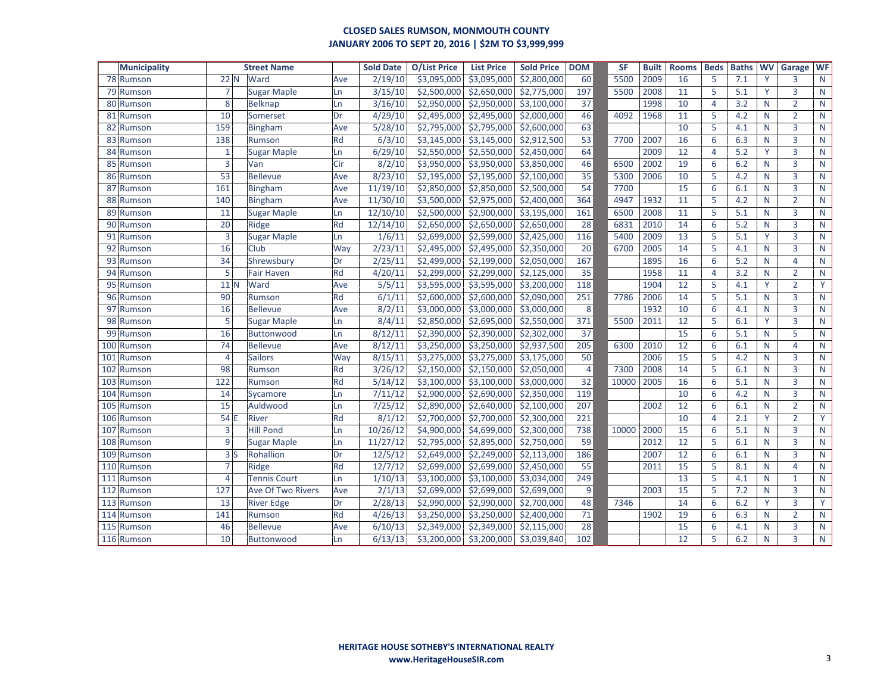| <b>Municipality</b> |                 | <b>Street Name</b>       |     | <b>Sold Date</b> | <b>O/List Price</b> | <b>List Price</b> | <b>Sold Price</b> | <b>DOM</b>     | <b>SF</b> | <b>Built</b> | <b>Rooms</b> | <b>Beds</b>    | <b>Baths</b> | <b>WV</b> | Garage         | <b>WF</b>    |
|---------------------|-----------------|--------------------------|-----|------------------|---------------------|-------------------|-------------------|----------------|-----------|--------------|--------------|----------------|--------------|-----------|----------------|--------------|
| 78 Rumson           | 22 N            | Ward                     | Ave | 2/19/10          | \$3,095,000         | \$3,095,000       | \$2,800,000       | 60             | 5500      | 2009         | 16           | 5              | 7.1          | Y         | 3              | $\mathsf{N}$ |
| 79 Rumson           | $\overline{7}$  | <b>Sugar Maple</b>       | Ln  | 3/15/10          | \$2,500,000         | \$2,650,000       | \$2,775,000       | 197            | 5500      | 2008         | 11           | 5              | 5.1          | Y         | 3              | $\mathsf{N}$ |
| 80<br>Rumson        | 8               | <b>Belknap</b>           | Ln  | 3/16/10          | \$2,950,000         | \$2,950,000       | \$3,100,000       | 37             |           | 1998         | 10           | $\overline{4}$ | 3.2          | N         | $\overline{2}$ | $\mathsf{N}$ |
| 81<br>Rumson        | 10              | Somerset                 | Dr  | 4/29/10          | \$2,495,000         | \$2,495,000       | \$2,000,000       | 46             | 4092      | 1968         | 11           | 5              | 4.2          | N         | $\overline{2}$ | $\mathsf{N}$ |
| 82<br>Rumson        | 159             | Bingham                  | Ave | 5/28/10          | \$2,795,000         | \$2,795,000       | \$2,600,000       | 63             |           |              | 10           | 5              | 4.1          | N         | 3              | $\mathsf{N}$ |
| 83<br>Rumson        | 138             | Rumson                   | Rd  | 6/3/10           | \$3,145,000         | \$3,145,000       | \$2,912,500       | 53             | 7700      | 2007         | 16           | 6              | 6.3          | N         | 3              | $\mathsf{N}$ |
| 84<br>Rumson        | $\mathbf{1}$    | <b>Sugar Maple</b>       | Ln  | 6/29/10          | \$2,550,000         | \$2,550,000       | \$2,450,000       | 64             |           | 2009         | 12           | $\overline{4}$ | 5.2          | Y         | 3              | $\mathsf{N}$ |
| 85<br>Rumson        | 3               | Van                      | Cir | 8/2/10           | \$3,950,000         | \$3,950,000       | \$3,850,000       | 46             | 6500      | 2002         | 19           | 6              | 6.2          | N         | $\overline{3}$ | $\mathsf{N}$ |
| 86 Rumson           | 53              | Bellevue                 | Ave | 8/23/10          | \$2,195,000         | \$2,195,000       | \$2,100,000       | 35             | 5300      | 2006         | 10           | 5              | 4.2          | N         | 3              | $\mathsf{N}$ |
| 87<br>Rumson        | 161             | Bingham                  | Ave | 11/19/10         | \$2,850,000         | \$2,850,000       | \$2,500,000       | 54             | 7700      |              | 15           | 6              | 6.1          | N         | 3              | $\mathsf{N}$ |
| 88<br>Rumson        | 140             | Bingham                  | Ave | 11/30/10         | \$3,500,000         | \$2,975,000       | \$2,400,000       | 364            | 4947      | 1932         | 11           | 5              | 4.2          | N         | $\overline{2}$ | $\mathsf{N}$ |
| 89<br>Rumson        | 11              | <b>Sugar Maple</b>       | Ln  | 12/10/10         | \$2,500,000         | \$2,900,000       | \$3,195,000       | 161            | 6500      | 2008         | 11           | 5              | 5.1          | N         | $\overline{3}$ | $\mathsf{N}$ |
| 90<br>Rumson        | 20              | Ridge                    | Rd  | 12/14/10         | \$2,650,000         | \$2,650,000       | \$2,650,000       | 28             | 6831      | 2010         | 14           | 6              | 5.2          | N         | 3              | $\mathsf{N}$ |
| 91<br>Rumson        | $\overline{3}$  | <b>Sugar Maple</b>       | Ln  | 1/6/11           | \$2,699,000         | \$2,599,000       | \$2,425,000       | 116            | 5400      | 2009         | 13           | 5              | 5.1          | Y         | 3              | N            |
| 92<br>Rumson        | 16              | Club                     | Way | 2/23/11          | \$2,495,000         | \$2,495,000       | \$2,350,000       | 20             | 6700      | 2005         | 14           | 5              | 4.1          | N         | 3              | $\mathsf{N}$ |
| 93<br>Rumson        | 34              | Shrewsbury               | Dr  | 2/25/11          | \$2,499,000         | \$2,199,000       | \$2,050,000       | 167            |           | 1895         | 16           | 6              | 5.2          | N         | 4              | $\mathsf{N}$ |
| 94<br>Rumson        | 5               | <b>Fair Haven</b>        | Rd  | 4/20/11          | \$2,299,000         | \$2,299,000       | \$2,125,000       | 35             |           | 1958         | 11           | $\overline{4}$ | 3.2          | N         | $\overline{2}$ | $\mathsf{N}$ |
| 95<br>Rumson        | $11$ N          | Ward                     | Ave | 5/5/11           | \$3,595,000         | \$3,595,000       | \$3,200,000       | 118            |           | 1904         | 12           | 5              | 4.1          | Y         | $\overline{2}$ | Y            |
| 96<br>Rumson        | 90              | Rumson                   | Rd  | 6/1/11           | \$2,600,000         | \$2,600,000       | \$2,090,000       | 251            | 7786      | 2006         | 14           | 5              | 5.1          | N         | 3              | $\mathsf{N}$ |
| 97<br>Rumson        | 16              | <b>Bellevue</b>          | Ave | 8/2/11           | \$3,000,000         | \$3,000,000       | \$3,000,000       | 8              |           | 1932         | 10           | 6              | 4.1          | N         | 3              | $\mathsf{N}$ |
| 98<br>Rumson        | 5               | <b>Sugar Maple</b>       | Ln  | 8/4/11           | \$2,850,000         | \$2,695,000       | \$2,550,000       | 371            | 5500      | 2011         | 12           | 5              | 6.1          | Y         | 3              | $\mathsf{N}$ |
| 99<br>Rumson        | 16              | Buttonwood               | Ln  | 8/12/11          | \$2,390,000         | \$2,390,000       | \$2,302,000       | 37             |           |              | 15           | 6              | 5.1          | N         | 5              | $\mathsf{N}$ |
| 100<br>Rumson       | 74              | <b>Bellevue</b>          | Ave | 8/12/11          | \$3,250,000         | \$3,250,000       | \$2,937,500       | 205            | 6300      | 2010         | 12           | 6              | 6.1          | N         | 4              | $\mathsf{N}$ |
| 101<br>Rumson       | $\overline{4}$  | <b>Sailors</b>           | Way | 8/15/11          | \$3,275,000         | \$3,275,000       | \$3,175,000       | 50             |           | 2006         | 15           | 5              | 4.2          | N         | 3              | $\mathsf{N}$ |
| 102<br>Rumson       | 98              | Rumson                   | Rd  | 3/26/12          | \$2,150,000         | \$2,150,000       | \$2,050,000       | $\overline{4}$ | 7300      | 2008         | 14           | 5              | 6.1          | N         | $\overline{3}$ | $\mathsf{N}$ |
| 103<br>Rumson       | 122             | Rumson                   | Rd  | 5/14/12          | \$3,100,000         | \$3,100,000       | \$3,000,000       | 32             | 10000     | 2005         | 16           | 6              | 5.1          | N         | 3              | $\mathsf{N}$ |
| 104<br>Rumson       | 14              | Sycamore                 | Ln  | 7/11/12          | \$2,900,000         | \$2,690,000       | \$2,350,000       | 119            |           |              | 10           | 6              | 4.2          | N         | 3              | $\mathsf{N}$ |
| 105<br>Rumson       | $\overline{15}$ | Auldwood                 | Ln  | 7/25/12          | \$2,890,000         | \$2,640,000       | \$2,100,000       | 207            |           | 2002         | 12           | 6              | 6.1          | N         | $\overline{2}$ | $\mathsf{N}$ |
| 106<br>Rumson       | 54 E            | River                    | Rd  | 8/1/12           | \$2,700,000         | \$2,700,000       | \$2,300,000       | 221            |           |              | 10           | $\overline{4}$ | 2.1          | Y         | $\overline{2}$ | Y            |
| 107 Rumson          | 3               | <b>Hill Pond</b>         | Ln  | 10/26/12         | \$4,900,000         | \$4,699,000       | \$2,300,000       | 738            | 10000     | 2000         | 15           | 6              | 5.1          | N         | 3              | $\mathsf{N}$ |
| 108 Rumson          | 9               | <b>Sugar Maple</b>       | Ln  | 11/27/12         | \$2,795,000         | \$2,895,000       | \$2,750,000       | 59             |           | 2012         | 12           | 5              | 6.1          | N         | $\overline{3}$ | $\mathsf{N}$ |
| 109<br>Rumson       | 3S              | Rohallion                | Dr  | 12/5/12          | \$2,649,000         | \$2,249,000       | \$2,113,000       | 186            |           | 2007         | 12           | 6              | 6.1          | N         | 3              | $\mathsf{N}$ |
| 110 Rumson          | $\overline{7}$  | Ridge                    | Rd  | 12/7/12          | \$2,699,000         | \$2,699,000       | \$2,450,000       | 55             |           | 2011         | 15           | 5              | 8.1          | N         | 4              | $\mathsf{N}$ |
| 111<br>Rumson       | 4               | <b>Tennis Court</b>      | Ln  | 1/10/13          | \$3,100,000         | \$3,100,000       | \$3,034,000       | 249            |           |              | 13           | 5              | 4.1          | N         | $\mathbf{1}$   | $\mathsf{N}$ |
| 112<br>Rumson       | 127             | <b>Ave Of Two Rivers</b> | Ave | 2/1/13           | \$2,699,000         | \$2,699,000       | \$2,699,000       | 9              |           | 2003         | 15           | 5              | 7.2          | N         | 3              | $\mathsf{N}$ |
| 113<br>Rumson       | 13              | <b>River Edge</b>        | Dr  | 2/28/13          | \$2,990,000         | \$2,990,000       | \$2,700,000       | 48             | 7346      |              | 14           | 6              | 6.2          | Y         | 3              | Y            |
| 114 Rumson          | 141             | Rumson                   | Rd  | 4/26/13          | \$3,250,000         | \$3,250,000       | \$2,400,000       | 71             |           | 1902         | 19           | 6              | 6.3          | N         | $\overline{2}$ | $\mathsf{N}$ |
| 115 Rumson          | 46              | <b>Bellevue</b>          | Ave | 6/10/13          | \$2,349,000         | \$2,349,000       | \$2,115,000       | 28             |           |              | 15           | 6              | 4.1          | N         | 3              | $\mathsf{N}$ |
| 116 Rumson          | 10              | Buttonwood               | Ln  | 6/13/13          | \$3,200,000         | \$3,200,000       | \$3,039,840       | 102            |           |              | 12           | 5              | 6.2          | N         | 3              | $\mathsf{N}$ |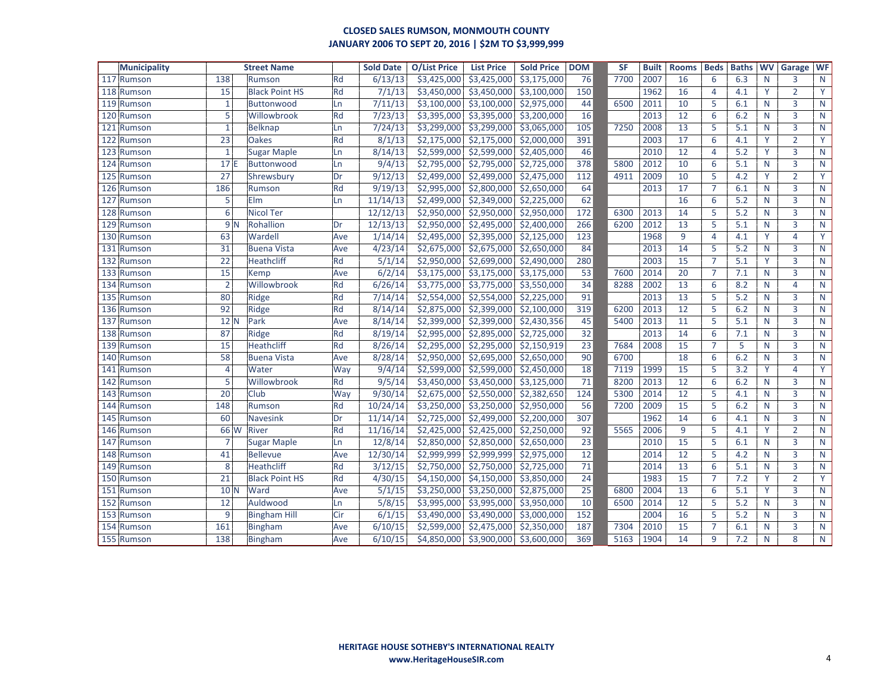| <b>Municipality</b> |                 | <b>Street Name</b>    |     | <b>Sold Date</b> | <b>O/List Price</b> | <b>List Price</b> | <b>Sold Price</b>          | <b>DOM</b>      | <b>SF</b> | <b>Built</b> | <b>Rooms</b> | <b>Beds</b>    | <b>Baths</b> | <b>WV</b>    | Garage         | <b>WF</b>    |
|---------------------|-----------------|-----------------------|-----|------------------|---------------------|-------------------|----------------------------|-----------------|-----------|--------------|--------------|----------------|--------------|--------------|----------------|--------------|
| 117 Rumson          | 138             | Rumson                | Rd  | 6/13/13          | \$3,425,000         | \$3,425,000       | \$3,175,000                | 76              | 7700      | 2007         | 16           | 6              | 6.3          | N            | 3              | N            |
| 118 Rumson          | 15              | <b>Black Point HS</b> | Rd  | 7/1/13           | \$3,450,000         | \$3,450,000       | \$3,100,000                | 150             |           | 1962         | 16           | $\overline{4}$ | 4.1          | Y            | $\overline{2}$ | Y            |
| 119 Rumson          | $\mathbf{1}$    | Buttonwood            | Ln  | 7/11/13          | \$3,100,000         | \$3,100,000       | \$2,975,000                | 44              | 6500      | 2011         | 10           | 5              | 6.1          | N            | 3              | $\mathsf{N}$ |
| 120<br>Rumson       | 5               | Willowbrook           | Rd  | 7/23/13          | \$3,395,000         | \$3,395,000       | \$3,200,000                | 16              |           | 2013         | 12           | 6              | 6.2          | N            | 3              | $\mathsf{N}$ |
| 121<br>Rumson       | $\mathbf{1}$    | <b>Belknap</b>        | Ln  | 7/24/13          | \$3,299,000         | \$3,299,000       | \$3,065,000                | 105             | 7250      | 2008         | 13           | 5              | 5.1          | N            | $\overline{3}$ | $\mathsf{N}$ |
| 122<br>Rumson       | 23              | <b>Oakes</b>          | Rd  | 8/1/13           | \$2,175,000         | \$2,175,000       | \$2,000,000                | 391             |           | 2003         | 17           | 6              | 4.1          | Y            | $\overline{2}$ | Y            |
| 123<br>Rumson       | $\mathbf{1}$    | <b>Sugar Maple</b>    | Ln  | 8/14/13          | \$2,599,000         | \$2,599,000       | \$2,405,000                | 46              |           | 2010         | 12           | $\overline{4}$ | 5.2          | Y            | 3              | $\mathsf{N}$ |
| 124<br>Rumson       | 17E             | Buttonwood            | Ln  | 9/4/13           | \$2,795,000         | \$2,795,000       | \$2,725,000                | 378             | 5800      | 2012         | 10           | 6              | 5.1          | N            | 3              | ${\sf N}$    |
| 125<br>Rumson       | 27              | Shrewsbury            | Dr  | 9/12/13          | \$2,499,000         | \$2,499,000       | \$2,475,000                | 112             | 4911      | 2009         | 10           | 5              | 4.2          | Y            | $\overline{2}$ | Y            |
| 126<br>Rumson       | 186             | Rumson                | Rd  | 9/19/13          | \$2,995,000         | \$2,800,000       | \$2,650,000                | 64              |           | 2013         | 17           | $\overline{7}$ | 6.1          | N            | $\overline{3}$ | $\mathsf{N}$ |
| 127<br>Rumson       | 5               | Elm                   | Ln  | 11/14/13         | \$2,499,000         | \$2,349,000       | \$2,225,000                | 62              |           |              | 16           | 6              | 5.2          | N            | 3              | $\mathsf{N}$ |
| 128<br>Rumson       | 6               | <b>Nicol Ter</b>      |     | 12/12/13         | \$2,950,000         | \$2,950,000       | \$2,950,000                | 172             | 6300      | 2013         | 14           | 5              | 5.2          | N            | 3              | ${\sf N}$    |
| 129<br>Rumson       | 9 <sub>N</sub>  | Rohallion             | Dr  | 12/13/13         | \$2,950,000         | \$2,495,000       | \$2,400,000                | 266             | 6200      | 2012         | 13           | 5              | 5.1          | N            | 3              | $\mathsf{N}$ |
| 130<br>Rumson       | 63              | Wardell               | Ave | 1/14/14          | \$2,495,000         | \$2,395,000       | \$2,125,000                | 123             |           | 1968         | 9            | $\overline{4}$ | 4.1          | Y            | 4              | Y            |
| 131<br>Rumson       | 31              | <b>Buena Vista</b>    | Ave | 4/23/14          | \$2,675,000         | \$2,675,000       | \$2,650,000                | 84              |           | 2013         | 14           | 5              | 5.2          | N            | 3              | $\mathsf{N}$ |
| 132 Rumson          | $\overline{22}$ | Heathcliff            | Rd  | 5/1/14           | \$2,950,000         | \$2,699,000       | \$2,490,000                | 280             |           | 2003         | 15           | $\overline{7}$ | 5.1          | Y            | $\overline{3}$ | $\mathsf{N}$ |
| 133 Rumson          | $\overline{15}$ | Kemp                  | Ave | 6/2/14           | \$3,175,000         | \$3,175,000       | \$3,175,000                | $\overline{53}$ | 7600      | 2014         | 20           | $\overline{7}$ | 7.1          | $\mathsf{N}$ | 3              | $\mathsf{N}$ |
| 134 Rumson          | $\overline{2}$  | Willowbrook           | Rd  | 6/26/14          | \$3,775,000         | \$3,775,000       | \$3,550,000                | 34              | 8288      | 2002         | 13           | 6              | 8.2          | N            | $\overline{4}$ | $\mathsf{N}$ |
| 135<br>Rumson       | 80              | Ridge                 | Rd  | 7/14/14          | \$2,554,000         | \$2,554,000       | \$2,225,000                | 91              |           | 2013         | 13           | 5              | 5.2          | N            | $\overline{3}$ | $\mathsf{N}$ |
| 136<br>Rumson       | 92              | Ridge                 | Rd  | 8/14/14          | \$2,875,000         | \$2,399,000       | $\overline{$}$ \$2,100,000 | 319             | 6200      | 2013         | 12           | 5              | 6.2          | N            | 3              | $\mathsf{N}$ |
| 137<br>Rumson       | 12N             | Park                  | Ave | 8/14/14          | \$2,399,000         | \$2,399,000       | \$2,430,356                | 45              | 5400      | 2013         | 11           | 5              | 5.1          | N            | 3              | $\mathsf{N}$ |
| 138<br>Rumson       | 87              | Ridge                 | Rd  | 8/19/14          | \$2,995,000         | \$2,895,000       | \$2,725,000                | 32              |           | 2013         | 14           | 6              | 7.1          | N            | 3              | $\mathsf{N}$ |
| 139<br>Rumson       | 15              | <b>Heathcliff</b>     | Rd  | 8/26/14          | \$2,295,000         | \$2,295,000       | \$2,150,919                | 23              | 7684      | 2008         | 15           | $\overline{7}$ | 5            | N            | $\overline{3}$ | $\mathsf{N}$ |
| 140 Rumson          | 58              | <b>Buena Vista</b>    | Ave | 8/28/14          | \$2,950,000         | \$2,695,000       | \$2,650,000                | 90              | 6700      |              | 18           | 6              | 6.2          | N            | $\overline{3}$ | $\mathsf{N}$ |
| 141<br>Rumson       | $\overline{4}$  | Water                 | Way | 9/4/14           | \$2,599,000         | \$2,599,000       | \$2,450,000                | 18              | 7119      | 1999         | 15           | 5              | 3.2          | Y            | 4              | Y            |
| 142<br>Rumson       | $\overline{5}$  | Willowbrook           | Rd  | 9/5/14           | \$3,450,000         | \$3,450,000       | \$3,125,000                | 71              | 8200      | 2013         | 12           | 6              | 6.2          | N            | 3              | $\mathsf{N}$ |
| 143<br>Rumson       | $\overline{20}$ | Club                  | Way | 9/30/14          | \$2,675,000         | \$2,550,000       | \$2,382,650                | 124             | 5300      | 2014         | 12           | 5              | 4.1          | N            | $\overline{3}$ | $\mathsf{N}$ |
| 144<br>Rumson       | 148             | Rumson                | Rd  | 10/24/14         | \$3,250,000         | \$3,250,000       | \$2,950,000                | 56              | 7200      | 2009         | 15           | 5              | 6.2          | N            | $\overline{3}$ | $\mathsf{N}$ |
| 145<br>Rumson       | 60              | <b>Navesink</b>       | Dr  | 11/14/14         | \$2,725,000         | \$2,499,000       | \$2,200,000                | 307             |           | 1962         | 14           | 6              | 4.1          | N            | 3              | $\mathsf{N}$ |
| 146<br>Rumson       | 66 W            | River                 | Rd  | 11/16/14         | \$2,425,000         | \$2,425,000       | \$2,250,000                | 92              | 5565      | 2006         | 9            | 5              | 4.1          | Y            | $\overline{2}$ | $\mathsf{N}$ |
| 147<br>Rumson       | $\overline{7}$  | <b>Sugar Maple</b>    | Ln  | 12/8/14          | \$2,850,000         | \$2,850,000       | \$2,650,000                | $\overline{23}$ |           | 2010         | 15           | 5              | 6.1          | N            | $\overline{3}$ | $\mathsf{N}$ |
| 148<br>Rumson       | 41              | <b>Bellevue</b>       | Ave | 12/30/14         | \$2,999,999         | \$2,999,999       | \$2,975,000                | 12              |           | 2014         | 12           | 5              | 4.2          | N            | $\overline{3}$ | $\mathsf{N}$ |
| 149<br>Rumson       | 8               | <b>Heathcliff</b>     | Rd  | 3/12/15          | \$2,750,000         | \$2,750,000       | \$2,725,000                | 71              |           | 2014         | 13           | 6              | 5.1          | N            | 3              | $\mathsf{N}$ |
| 150<br>Rumson       | 21              | <b>Black Point HS</b> | Rd  | 4/30/15          | \$4,150,000         | \$4,150,000       | \$3,850,000                | 24              |           | 1983         | 15           | $\overline{7}$ | 7.2          | Y            | $\overline{2}$ | Y            |
| 151<br>Rumson       | 10 <sub>N</sub> | Ward                  | Ave | 5/1/15           | \$3,250,000         | \$3,250,000       | \$2,875,000                | 25              | 6800      | 2004         | 13           | 6              | 5.1          | Y            | 3              | $\mathsf{N}$ |
| 152<br>Rumson       | 12              | Auldwood              | Ln  | 5/8/15           | \$3,995,000         | \$3,995,000       | \$3,950,000                | 10              | 6500      | 2014         | 12           | 5              | 5.2          | N            | 3              | $\mathsf{N}$ |
| 153 Rumson          | $\overline{9}$  | <b>Bingham Hill</b>   | Cir | 6/1/15           | \$3,490,000         | \$3,490,000       | \$3,000,000                | 152             |           | 2004         | 16           | 5              | 5.2          | N            | $\overline{3}$ | $\mathsf{N}$ |
| 154 Rumson          | 161             | <b>Bingham</b>        | Ave | 6/10/15          | \$2,599,000         | \$2,475,000       | \$2,350,000                | 187             | 7304      | 2010         | 15           | $\overline{7}$ | 6.1          | N            | 3              | $\mathsf{N}$ |
| 155 Rumson          | 138             | Bingham               | Ave | 6/10/15          | \$4,850,000         | \$3,900,000       | \$3,600,000                | 369             | 5163      | 1904         | 14           | 9              | 7.2          | N            | 8              | $\mathsf{N}$ |